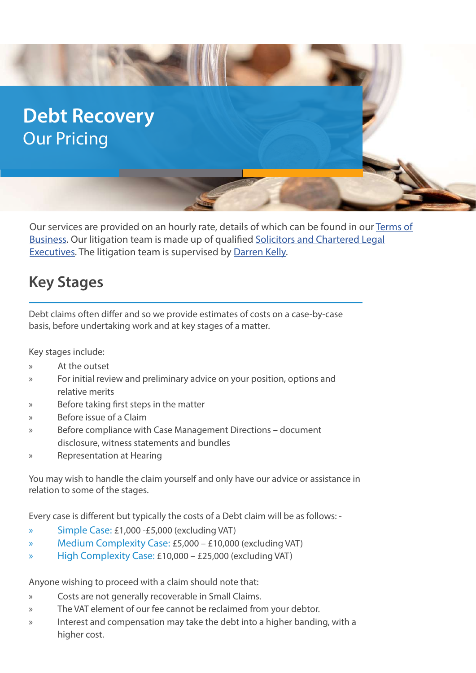# **Debt Recovery** Our Pricing

Our services are provided on an hourly rate, details of which can be found in our [Terms of](https://www.ellis-fermor.co.uk/terms-of-business/) [Business](https://www.ellis-fermor.co.uk/terms-of-business/). Our litigation team is made up of qualified [Solicitors and Chartered Legal](https://www.ellis-fermor.co.uk/our-team/) [Executives.](https://www.ellis-fermor.co.uk/our-team/) The litigation team is supervised by [Darren Kelly](https://www.ellis-fermor.co.uk/our-team/darren-kelly/).

# **Key Stages**

Debt claims often differ and so we provide estimates of costs on a case-by-case basis, before undertaking work and at key stages of a matter.

Key stages include:

- » At the outset
- » For initial review and preliminary advice on your position, options and relative merits
- » Before taking first steps in the matter
- » Before issue of a Claim
- » Before compliance with Case Management Directions document disclosure, witness statements and bundles
- » Representation at Hearing

You may wish to handle the claim yourself and only have our advice or assistance in relation to some of the stages.

Every case is different but typically the costs of a Debt claim will be as follows: -

- » Simple Case: £1,000 -£5,000 (excluding VAT)
- » Medium Complexity Case: £5,000 £10,000 (excluding VAT)
- » High Complexity Case: £10,000 £25,000 (excluding VAT)

Anyone wishing to proceed with a claim should note that:

- » Costs are not generally recoverable in Small Claims.
- » The VAT element of our fee cannot be reclaimed from your debtor.
- » Interest and compensation may take the debt into a higher banding, with a higher cost.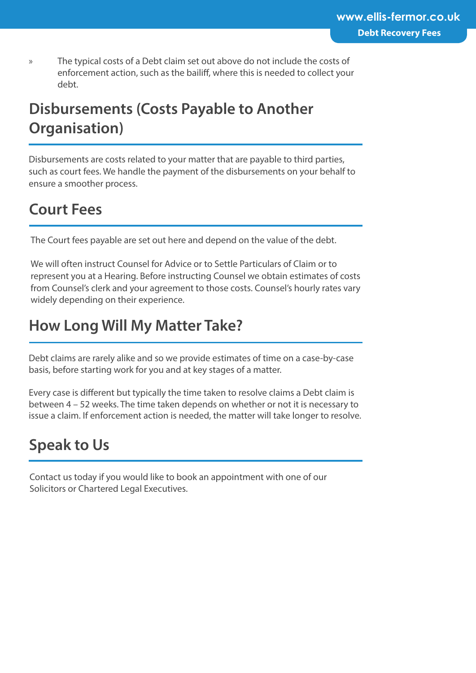» The typical costs of a Debt claim set out above do not include the costs of enforcement action, such as the bailiff, where this is needed to collect your debt.

# **Disbursements (Costs Payable to Another Organisation)**

Disbursements are costs related to your matter that are payable to third parties, such as court fees. We handle the payment of the disbursements on your behalf to ensure a smoother process.

# **Court Fees**

The Court fees payable are set out here and depend on the value of the debt.

We will often instruct Counsel for Advice or to Settle Particulars of Claim or to represent you at a Hearing. Before instructing Counsel we obtain estimates of costs from Counsel's clerk and your agreement to those costs. Counsel's hourly rates vary widely depending on their experience.

# **How Long Will My Matter Take?**

Debt claims are rarely alike and so we provide estimates of time on a case-by-case basis, before starting work for you and at key stages of a matter.

Every case is different but typically the time taken to resolve claims a Debt claim is between 4 – 52 weeks. The time taken depends on whether or not it is necessary to issue a claim. If enforcement action is needed, the matter will take longer to resolve.

# **Speak to Us**

Contact us today if you would like to book an appointment with one of our Solicitors or Chartered Legal Executives.